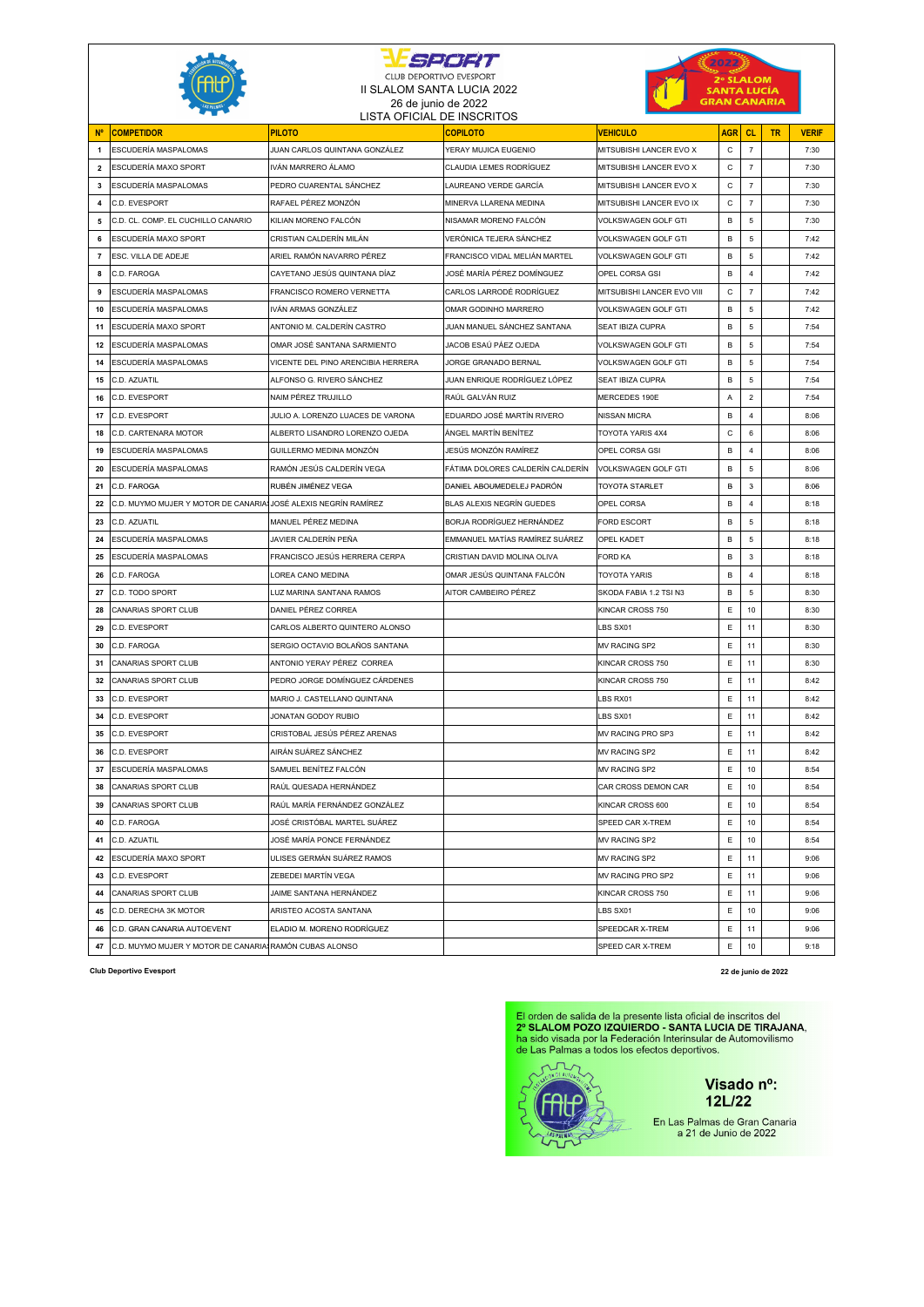| SPORT          |                                                                 |                                                     |                                                   | 2022                          |                     |                |    |              |  |  |
|----------------|-----------------------------------------------------------------|-----------------------------------------------------|---------------------------------------------------|-------------------------------|---------------------|----------------|----|--------------|--|--|
|                |                                                                 | <b>CLUB DEPORTIVO EVESPORT</b>                      |                                                   | 2° SLALOM                     |                     |                |    |              |  |  |
|                |                                                                 | II SLALOM SANTA LUCIA 2022                          |                                                   |                               | SANTA LUCÍA         |                |    |              |  |  |
|                |                                                                 |                                                     | 26 de junio de 2022<br>LISTA OFICIAL DE INSCRITOS |                               | <b>SRAN CANARIA</b> |                |    |              |  |  |
| <b>N°</b>      | <b>COMPETIDOR</b>                                               | <b>PILOTO</b>                                       | <b>COPILOTO</b>                                   | <b>VEHICULO</b>               | <b>AGR</b>          | <b>CL</b>      | TR | <b>VERIF</b> |  |  |
| $\overline{1}$ | ESCUDERÍA MASPALOMAS                                            | JUAN CARLOS QUINTANA GONZÁLEZ                       | YERAY MUJICA EUGENIO                              | MITSUBISHI LANCER EVO X       | C                   | $\overline{7}$ |    | 7:30         |  |  |
| $\overline{2}$ | ESCUDERÍA MAXO SPORT                                            | IVÁN MARRERO ÁLAMO                                  | CLAUDIA LEMES RODRÍGUEZ                           | MITSUBISHI LANCER EVO X       | C                   | $\overline{7}$ |    | 7:30         |  |  |
| 3              | ESCUDERÍA MASPALOMAS                                            | PEDRO CUARENTAL SÁNCHEZ                             | LAUREANO VERDE GARCÍA                             | MITSUBISHI LANCER EVO X       | $\mathbf C$         | $\overline{7}$ |    | 7:30         |  |  |
| 4              | C.D. EVESPORT                                                   | RAFAEL PÉREZ MONZÓN                                 | MINERVA LLARENA MEDINA                            | MITSUBISHI LANCER EVO IX      | C                   | $\overline{7}$ |    | 7:30         |  |  |
| 5              | C.D. CL. COMP. EL CUCHILLO CANARIO                              | KILIAN MORENO FALCÓN                                | NISAMAR MORENO FALCÓN                             | VOLKSWAGEN GOLF GTI           | в                   | 5              |    | 7:30         |  |  |
| 6              | ESCUDERÍA MAXO SPORT                                            | CRISTIAN CALDERÍN MILÁN                             | VERÓNICA TEJERA SÁNCHEZ                           | VOLKSWAGEN GOLF GTI           | B                   | 5              |    | 7:42         |  |  |
| $\overline{7}$ | ESC. VILLA DE ADEJE                                             | ARIEL RAMÓN NAVARRO PÉREZ                           | FRANCISCO VIDAL MELIÁN MARTEL                     | VOLKSWAGEN GOLF GTI           | B                   | 5              |    | 7:42         |  |  |
| 8              | C.D. FAROGA                                                     | CAYETANO JESÚS QUINTANA DÍAZ                        | JOSÉ MARÍA PÉREZ DOMÍNGUEZ                        | OPEL CORSA GSI                | B                   | $\overline{4}$ |    | 7:42         |  |  |
| 9              | ESCUDERÍA MASPALOMAS                                            | FRANCISCO ROMERO VERNETTA                           | CARLOS LARRODÉ RODRÍGUEZ                          | MITSUBISHI LANCER EVO VIII    | C                   | $\overline{7}$ |    | 7:42         |  |  |
| 10             | ESCUDERÍA MASPALOMAS                                            | IVÁN ARMAS GONZÁLEZ                                 | OMAR GODINHO MARRERO                              | VOLKSWAGEN GOLF GTI           | B                   | 5              |    | 7:42         |  |  |
| 11             | ESCUDERÍA MAXO SPORT                                            | ANTONIO M. CALDERÍN CASTRO                          | JUAN MANUEL SÁNCHEZ SANTANA                       | SEAT IBIZA CUPRA              | в                   | 5              |    | 7:54         |  |  |
| 12             | ESCUDERÍA MASPALOMAS                                            | OMAR JOSÉ SANTANA SARMIENTO                         | JACOB ESAÚ PÁEZ OJEDA                             | VOLKSWAGEN GOLF GTI           | В                   | 5              |    | 7:54         |  |  |
| 14             | ESCUDERÍA MASPALOMAS                                            | VICENTE DEL PINO ARENCIBIA HERRERA                  | JORGE GRANADO BERNAL                              | VOLKSWAGEN GOLF GTI           | B                   | 5              |    | 7:54         |  |  |
| 15             | C.D. AZUATIL                                                    | ALFONSO G. RIVERO SÁNCHEZ                           | JUAN ENRIQUE RODRÍGUEZ LÓPEZ                      | SEAT IBIZA CUPRA              | B                   | 5              |    | 7:54         |  |  |
| 16             | C.D. EVESPORT                                                   | NAIM PÉREZ TRUJILLO                                 | RAÚL GALVÁN RUIZ                                  | MERCEDES 190E                 | Α                   | $\overline{2}$ |    | 7:54         |  |  |
| 17             | C.D. EVESPORT                                                   | JULIO A. LORENZO LUACES DE VARONA                   | EDUARDO JOSÉ MARTÍN RIVERO                        | NISSAN MICRA                  | B                   | $\overline{4}$ |    | 8:06         |  |  |
| 18             | C.D. CARTENARA MOTOR                                            | ALBERTO LISANDRO LORENZO OJEDA                      | ÁNGEL MARTÍN BENÍTEZ                              | TOYOTA YARIS 4X4              | C                   | 6              |    | 8:06         |  |  |
| 19             | ESCUDERÍA MASPALOMAS                                            | GUILLERMO MEDINA MONZÓN                             | JESÚS MONZÓN RAMÍREZ                              | OPEL CORSA GSI                | B                   | $\overline{4}$ |    | 8:06         |  |  |
| 20             | ESCUDERÍA MASPALOMAS                                            | RAMÓN JESÚS CALDERÍN VEGA                           | FÁTIMA DOLORES CALDERÍN CALDERÍN                  | VOLKSWAGEN GOLF GTI           | B                   | 5              |    | 8:06         |  |  |
| 21             | C.D. FAROGA                                                     | RUBÉN JIMÉNEZ VEGA                                  | DANIEL ABOUMEDELEJ PADRÓN                         | TOYOTA STARLET                | в                   | 3              |    | 8:06         |  |  |
| 22             | C.D. MUYMO MUJER Y MOTOR DE CANARIA\$JOSÉ ALEXIS NEGRÍN RAMÍREZ |                                                     | BLAS ALEXIS NEGRÍN GUEDES                         | OPEL CORSA                    | B                   | $\overline{4}$ |    | 8:18         |  |  |
| 23             | C.D. AZUATIL                                                    | MANUEL PÉREZ MEDINA                                 | BORJA RODRÍGUEZ HERNÁNDEZ                         | <b>FORD ESCORT</b>            | B                   | 5              |    | 8:18         |  |  |
| 24             | ESCUDERÍA MASPALOMAS                                            | JAVIER CALDERÍN PEÑA                                | EMMANUEL MATÍAS RAMÍREZ SUÁREZ                    | <b>OPEL KADET</b>             | B                   | 5              |    | 8:18         |  |  |
| 25             | ESCUDERÍA MASPALOMAS                                            | FRANCISCO JESÚS HERRERA CERPA                       | CRISTIAN DAVID MOLINA OLIVA                       | <b>FORD KA</b>                | B                   | 3              |    | 8:18         |  |  |
| 26             | C.D. FAROGA                                                     | OREA CANO MEDINA                                    | OMAR JESÚS QUINTANA FALCÓN                        | TOYOTA YARIS                  | в                   | 4              |    | 8:18         |  |  |
| 27             | C.D. TODO SPORT                                                 | LUZ MARINA SANTANA RAMOS                            | AITOR CAMBEIRO PÉREZ                              | SKODA FABIA 1.2 TSI N3        | B                   | 5              |    | 8:30         |  |  |
| 28             | CANARIAS SPORT CLUB                                             | DANIEL PÉREZ CORREA                                 |                                                   | KINCAR CROSS 750              | Ε                   | 10             |    | 8:30         |  |  |
| 29             | C.D. EVESPORT                                                   | CARLOS ALBERTO QUINTERO ALONSO                      |                                                   | LBS SX01                      | Ε                   | 11             |    | 8:30         |  |  |
| 30             | C.D. FAROGA                                                     | SERGIO OCTAVIO BOLAÑOS SANTANA                      |                                                   | <b>MV RACING SP2</b>          | Ε                   | 11             |    | 8:30         |  |  |
| 31             | CANARIAS SPORT CLUB                                             | ANTONIO YERAY PÉREZ CORREA                          |                                                   | KINCAR CROSS 750              | E                   | 11             |    | 8:30         |  |  |
| 32             | CANARIAS SPORT CLUB                                             | PEDRO JORGE DOMÍNGUEZ CÁRDENES                      |                                                   | KINCAR CROSS 750              | $\mathsf E$         | 11             |    | 8:42         |  |  |
| 33             | C.D. EVESPORT<br>C.D. EVESPORT                                  | MARIO J. CASTELLANO QUINTANA<br>JONATAN GODOY RUBIO |                                                   | LBS RX01                      | Ε<br>Ε              | 11             |    | 8:42         |  |  |
| 34<br>35       | C.D. EVESPORT                                                   | CRISTOBAL JESÚS PÉREZ ARENAS                        |                                                   | LBS SX01<br>MV RACING PRO SP3 | E                   | 11<br>11       |    | 8:42<br>8:42 |  |  |
| 36             | C.D. EVESPORT                                                   | AIRÁN SUÁREZ SÁNCHEZ                                |                                                   | <b>MV RACING SP2</b>          | Ε                   | 11             |    | 8:42         |  |  |
| 37             | ESCUDERÍA MASPALOMAS                                            | SAMUEL BENÍTEZ FALCÓN                               |                                                   | MV RACING SP2                 | Ε                   | 10             |    | 8:54         |  |  |
| 38             | CANARIAS SPORT CLUB                                             | RAÚL QUESADA HERNÁNDEZ                              |                                                   | CAR CROSS DEMON CAR           | Ε                   | 10             |    | 8:54         |  |  |
| 39             | CANARIAS SPORT CLUB                                             | RAÚL MARÍA FERNÁNDEZ GONZÁLEZ                       |                                                   | KINCAR CROSS 600              | Ε                   | 10             |    | 8:54         |  |  |
| 40             | C.D. FAROGA                                                     | JOSÉ CRISTÓBAL MARTEL SUÁREZ                        |                                                   | SPEED CAR X-TREM              | Ε                   | 10             |    | 8:54         |  |  |
| 41             | C.D. AZUATIL                                                    | JOSÉ MARÍA PONCE FERNÁNDEZ                          |                                                   | MV RACING SP2                 | Ε                   | 10             |    | 8:54         |  |  |
| 42             | ESCUDERÍA MAXO SPORT                                            | ULISES GERMÁN SUÁREZ RAMOS                          |                                                   | MV RACING SP2                 | Ε                   | 11             |    | 9:06         |  |  |
| 43             | C.D. EVESPORT                                                   | ZEBEDEI MARTÍN VEGA                                 |                                                   | MV RACING PRO SP2             | Ε                   | 11             |    | 9:06         |  |  |
| 44             | CANARIAS SPORT CLUB                                             | JAIME SANTANA HERNÁNDEZ                             |                                                   | KINCAR CROSS 750              | Ε                   | 11             |    | 9:06         |  |  |
| 45             | C.D. DERECHA 3K MOTOR                                           | ARISTEO ACOSTA SANTANA                              |                                                   | LBS SX01                      | Ε                   | 10             |    | 9:06         |  |  |
| 46             | C.D. GRAN CANARIA AUTOEVENT                                     | ELADIO M. MORENO RODRÍGUEZ                          |                                                   | SPEEDCAR X-TREM               | Ε                   | 11             |    | 9:06         |  |  |
| 47             | C.D. MUYMO MUJER Y MOTOR DE CANARIA\$RAMÓN CUBAS ALONSO         |                                                     |                                                   | SPEED CAR X-TREM              | Ε                   | 10             |    | 9:18         |  |  |
|                |                                                                 |                                                     |                                                   |                               |                     |                |    |              |  |  |

**Club Deportivo Evesport 22 de junio de 2022**

El orden de salida de la presente lista oficial de inscritos del<br>2º SLALOM POZO IZQUIERDO - SANTA LUCIA DE TIRAJANA,<br>ha sido visada por la Federación Interinsular de Automovilismo<br>de Las Palmas a todos los efectos deportiv



 $12L/22$ En Las Palmas de Gran Canaria<br>a 21 de Junio de 2022

Visado nº: